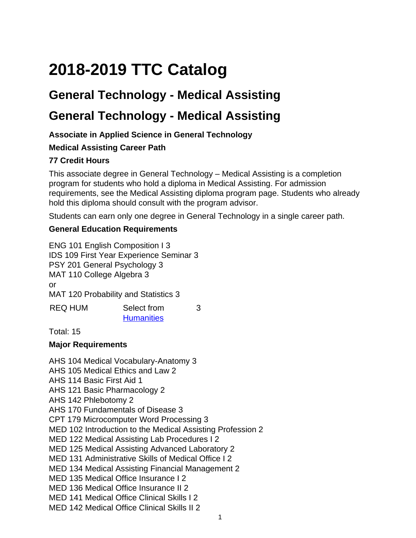# **2018-2019 TTC Catalog**

# **General Technology - Medical Assisting**

# **General Technology - Medical Assisting**

### **Associate in Applied Science in General Technology**

#### **Medical Assisting Career Path**

### **77 Credit Hours**

This associate degree in General Technology – Medical Assisting is a completion program for students who hold a diploma in Medical Assisting. For admission requirements, see the Medical Assisting diploma program page. Students who already hold this diploma should consult with the program advisor.

Students can earn only one degree in General Technology in a single career path.

#### **General Education Requirements**

ENG 101 English Composition I 3 IDS 109 First Year Experience Seminar 3 PSY 201 General Psychology 3 MAT 110 College Algebra 3 or MAT 120 Probability and Statistics 3 REQ HUM Select from 3

**[Humanities](
					site://Course-Catalog-2018/Associate Degree Competencies-Core Curriculum/Associate Degree Competencies Core Curriculum#human)** 

Total: 15

#### **Major Requirements**

AHS 104 Medical Vocabulary-Anatomy 3 AHS 105 Medical Ethics and Law 2 AHS 114 Basic First Aid 1 AHS 121 Basic Pharmacology 2 AHS 142 Phlebotomy 2 AHS 170 Fundamentals of Disease 3 CPT 179 Microcomputer Word Processing 3 MED 102 Introduction to the Medical Assisting Profession 2 MED 122 Medical Assisting Lab Procedures I 2 MED 125 Medical Assisting Advanced Laboratory 2 MED 131 Administrative Skills of Medical Office I 2 MED 134 Medical Assisting Financial Management 2 MED 135 Medical Office Insurance I 2 MED 136 Medical Office Insurance II 2 MED 141 Medical Office Clinical Skills I 2

MED 142 Medical Office Clinical Skills II 2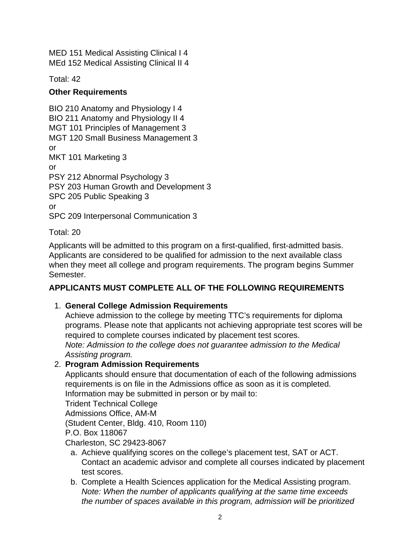MED 151 Medical Assisting Clinical I 4 MEd 152 Medical Assisting Clinical II 4

Total: 42

#### **Other Requirements**

BIO 210 Anatomy and Physiology I 4 BIO 211 Anatomy and Physiology II 4 MGT 101 Principles of Management 3 MGT 120 Small Business Management 3 or MKT 101 Marketing 3 or PSY 212 Abnormal Psychology 3 PSY 203 Human Growth and Development 3 SPC 205 Public Speaking 3 or SPC 209 Interpersonal Communication 3

#### Total: 20

Applicants will be admitted to this program on a first-qualified, first-admitted basis. Applicants are considered to be qualified for admission to the next available class when they meet all college and program requirements. The program begins Summer Semester.

#### **APPLICANTS MUST COMPLETE ALL OF THE FOLLOWING REQUIREMENTS**

#### 1. **General College Admission Requirements**

Achieve admission to the college by meeting TTC's requirements for diploma programs. Please note that applicants not achieving appropriate test scores will be required to complete courses indicated by placement test scores. Note: Admission to the college does not guarantee admission to the Medical Assisting program.

# 2. **Program Admission Requirements**

Applicants should ensure that documentation of each of the following admissions requirements is on file in the Admissions office as soon as it is completed. Information may be submitted in person or by mail to:

Trident Technical College

Admissions Office, AM-M

(Student Center, Bldg. 410, Room 110)

P.O. Box 118067

Charleston, SC 29423-8067

- a. Achieve qualifying scores on the college's placement test, SAT or ACT. Contact an academic advisor and complete all courses indicated by placement test scores.
- b. Complete a Health Sciences application for the Medical Assisting program. Note: When the number of applicants qualifying at the same time exceeds the number of spaces available in this program, admission will be prioritized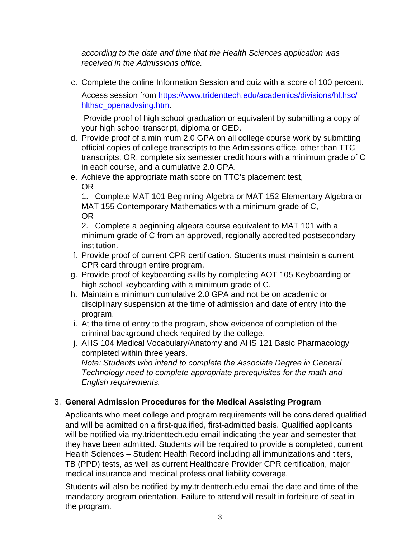according to the date and time that the Health Sciences application was received in the Admissions office.

c. Complete the online Information Session and quiz with a score of 100 percent.

Access session from [https://www.tridenttech.edu/academics/divisions/hlthsc/](
					https://www.tridenttech.edu/academics/divisions/hlthsc/hlthsc_openadvsing.htm) [hlthsc\\_openadvsing.htm](
					https://www.tridenttech.edu/academics/divisions/hlthsc/hlthsc_openadvsing.htm).

 Provide proof of high school graduation or equivalent by submitting a copy of your high school transcript, diploma or GED.

- d. Provide proof of a minimum 2.0 GPA on all college course work by submitting official copies of college transcripts to the Admissions office, other than TTC transcripts, OR, complete six semester credit hours with a minimum grade of C in each course, and a cumulative 2.0 GPA.
- e. Achieve the appropriate math score on TTC's placement test, OR

1. Complete MAT 101 Beginning Algebra or MAT 152 Elementary Algebra or MAT 155 Contemporary Mathematics with a minimum grade of C, OR

2. Complete a beginning algebra course equivalent to MAT 101 with a minimum grade of C from an approved, regionally accredited postsecondary institution.

- f. Provide proof of current CPR certification. Students must maintain a current CPR card through entire program.
- g. Provide proof of keyboarding skills by completing AOT 105 Keyboarding or high school keyboarding with a minimum grade of C.
- h. Maintain a minimum cumulative 2.0 GPA and not be on academic or disciplinary suspension at the time of admission and date of entry into the program.
- i. At the time of entry to the program, show evidence of completion of the criminal background check required by the college.
- j. AHS 104 Medical Vocabulary/Anatomy and AHS 121 Basic Pharmacology completed within three years.

Note: Students who intend to complete the Associate Degree in General Technology need to complete appropriate prerequisites for the math and English requirements.

# 3. **General Admission Procedures for the Medical Assisting Program**

Applicants who meet college and program requirements will be considered qualified and will be admitted on a first-qualified, first-admitted basis. Qualified applicants will be notified via my.tridenttech.edu email indicating the year and semester that they have been admitted. Students will be required to provide a completed, current Health Sciences – Student Health Record including all immunizations and titers, TB (PPD) tests, as well as current Healthcare Provider CPR certification, major medical insurance and medical professional liability coverage.

Students will also be notified by my.tridenttech.edu email the date and time of the mandatory program orientation. Failure to attend will result in forfeiture of seat in the program.